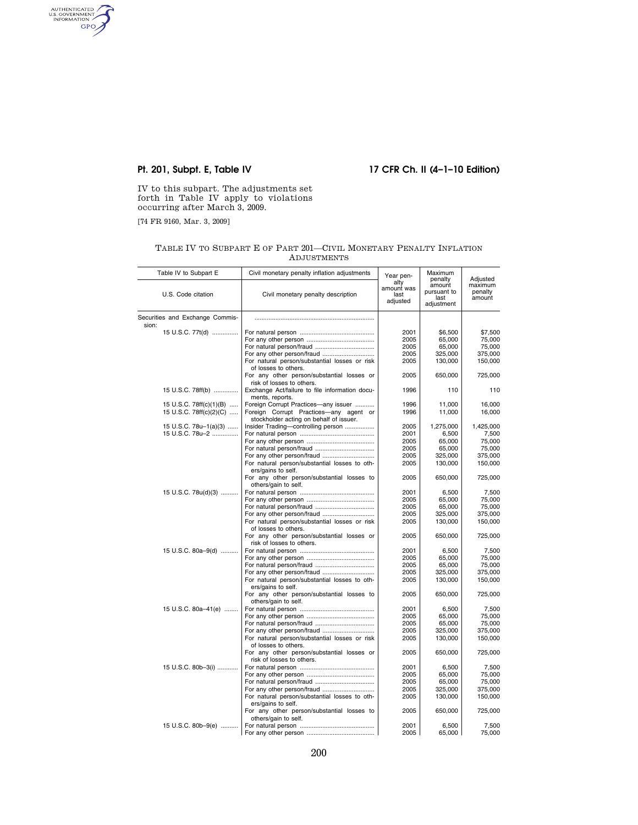# **Pt. 201, Subpt. E, Table IV 17 CFR Ch. II (4–1–10 Edition)**

IV to this subpart. The adjustments set forth in Table IV apply to violations occurring after March 3, 2009.

[74 FR 9160, Mar. 3, 2009]

AUTHENTICATED

TABLE IV TO SUBPART E OF PART 201—CIVIL MONETARY PENALTY INFLATION ADJUSTMENTS

| Table IV to Subpart E                    | Civil monetary penalty inflation adjustments                                | Year pen-<br>alty              | Maximum<br>penalty                          | Adjusted                     |
|------------------------------------------|-----------------------------------------------------------------------------|--------------------------------|---------------------------------------------|------------------------------|
| U.S. Code citation                       | Civil monetary penalty description                                          | amount was<br>last<br>adjusted | amount<br>pursuant to<br>last<br>adjustment | maximum<br>penalty<br>amount |
| Securities and Exchange Commis-<br>sion: |                                                                             |                                |                                             |                              |
| 15 U.S.C. 77t(d)                         |                                                                             | 2001                           | \$6,500                                     | \$7,500                      |
|                                          |                                                                             | 2005                           | 65,000                                      | 75,000                       |
|                                          |                                                                             | 2005                           | 65,000                                      | 75,000                       |
|                                          | For any other person/fraud                                                  | 2005                           | 325,000                                     | 375,000                      |
|                                          | For natural person/substantial losses or risk<br>of losses to others.       | 2005                           | 130,000                                     | 150,000                      |
|                                          | For any other person/substantial losses or<br>risk of losses to others.     | 2005                           | 650,000                                     | 725,000                      |
| 15 U.S.C. 78ff(b)                        | Exchange Act/failure to file information docu-                              | 1996                           | 110                                         | 110                          |
| 15 U.S.C. 78ff(c)(1)(B)                  | ments, reports.<br>Foreign Corrupt Practices-any issuer                     | 1996                           | 11,000                                      | 16,000                       |
| 15 U.S.C. 78ff(c)(2)(C)                  | Foreign Corrupt Practices-any agent or                                      | 1996                           | 11,000                                      | 16,000                       |
|                                          | stockholder acting on behalf of issuer.                                     |                                |                                             |                              |
| 15 U.S.C. 78u-1(a)(3)                    | Insider Trading-controlling person                                          | 2005                           | 1,275,000                                   | 1,425,000                    |
| 15 U.S.C. 78u-2                          |                                                                             | 2001                           | 6,500                                       | 7,500                        |
|                                          |                                                                             | 2005                           | 65,000                                      | 75,000                       |
|                                          |                                                                             | 2005                           | 65,000                                      | 75,000                       |
|                                          |                                                                             | 2005<br>2005                   | 325,000                                     | 375,000                      |
|                                          | For natural person/substantial losses to oth-<br>ers/gains to self.         |                                | 130,000                                     | 150,000                      |
|                                          | For any other person/substantial losses to<br>others/gain to self.          | 2005                           | 650,000                                     | 725,000                      |
| 15 U.S.C. 78u(d)(3)                      |                                                                             | 2001                           | 6,500                                       | 7,500                        |
|                                          |                                                                             | 2005                           | 65,000                                      | 75,000                       |
|                                          |                                                                             | 2005                           | 65,000                                      | 75,000                       |
|                                          |                                                                             | 2005                           | 325,000                                     | 375,000                      |
|                                          | For natural person/substantial losses or risk<br>of losses to others.       | 2005                           | 130,000                                     | 150,000                      |
|                                          | For any other person/substantial losses or<br>risk of losses to others.     | 2005                           | 650,000                                     | 725,000                      |
| 15 U.S.C. 80a–9(d)                       |                                                                             | 2001                           | 6,500                                       | 7,500                        |
|                                          |                                                                             | 2005                           | 65,000                                      | 75,000                       |
|                                          |                                                                             | 2005<br>2005                   | 65,000<br>325,000                           | 75,000<br>375,000            |
|                                          | For natural person/substantial losses to oth-                               | 2005                           | 130,000                                     | 150,000                      |
|                                          | ers/gains to self.                                                          |                                |                                             |                              |
|                                          | For any other person/substantial losses to<br>others/gain to self.          | 2005                           | 650,000                                     | 725,000                      |
| 15 U.S.C. 80a-41(e)                      |                                                                             | 2001                           | 6,500                                       | 7,500                        |
|                                          |                                                                             | 2005                           | 65,000                                      | 75,000                       |
|                                          |                                                                             | 2005                           | 65,000                                      | 75,000                       |
|                                          | For any other person/fraud<br>For natural person/substantial losses or risk | 2005<br>2005                   | 325,000<br>130,000                          | 375,000<br>150,000           |
|                                          | of losses to others.<br>For any other person/substantial losses or          | 2005                           | 650,000                                     | 725,000                      |
|                                          | risk of losses to others.                                                   | 2001                           |                                             |                              |
| 15 U.S.C. 80b-3(i)                       |                                                                             | 2005                           | 6,500<br>65,000                             | 7,500<br>75,000              |
|                                          |                                                                             | 2005                           | 65,000                                      | 75,000                       |
|                                          |                                                                             | 2005                           | 325,000                                     | 375,000                      |
|                                          | For natural person/substantial losses to oth-<br>ers/gains to self.         | 2005                           | 130,000                                     | 150,000                      |
|                                          | For any other person/substantial losses to<br>others/gain to self.          | 2005                           | 650,000                                     | 725,000                      |
| 15 U.S.C. 80b-9(e)                       |                                                                             | 2001                           | 6,500                                       | 7,500                        |
|                                          |                                                                             | 2005                           | 65.000                                      | 75,000                       |